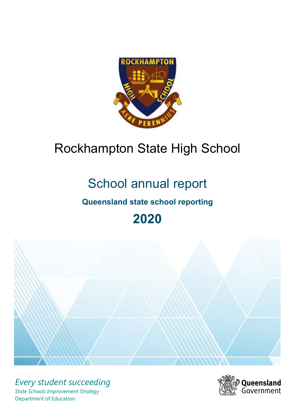

# Rockhampton State High School

# School annual report

# **Queensland state school reporting**

# **2020**



*Every student succeeding State Schools Improvement Strategy* Department of Education

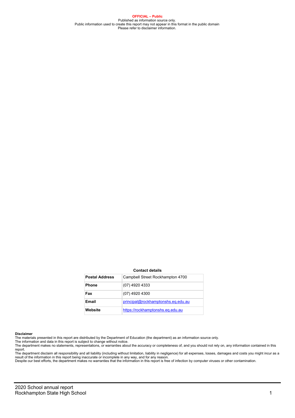**OFFICIAL – Public** Published as information source only.<br>Public information used to create this report may not appear in this format in the public domain<br>Please refer to disclaimer information.

#### **Contact details**

| <b>Postal Address</b> | Campbell Street Rockhampton 4700   |
|-----------------------|------------------------------------|
| <b>Phone</b>          | (07) 4920 4333                     |
| Fax                   | (07) 4920 4300                     |
| Email                 | principal@rockhamptonshs.eq.edu.au |
| Website               | https://rockhamptonshs.eq.edu.au   |

#### **Disclaimer**

The materials presented in this report are distributed by the Department of Education (the department) as an information source only.<br>The information and data in this report is subject to change without notice.

The department makes no statements, representations, or warranties about the accuracy or completeness of, and you should not rely on, any information contained in this

report.<br>The department disclaim all responsibility and all liability (including without limitation, liability in negligence) for all expenses, losses, damages and costs you might incur as a<br>result of the information in thi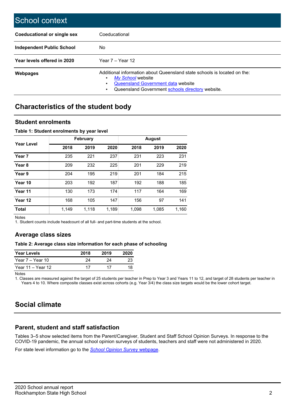| School context                     |                                                                                                                                                                                         |
|------------------------------------|-----------------------------------------------------------------------------------------------------------------------------------------------------------------------------------------|
| <b>Coeducational or single sex</b> | Coeducational                                                                                                                                                                           |
| <b>Independent Public School</b>   | No.                                                                                                                                                                                     |
| Year levels offered in 2020        | Year $7 -$ Year 12                                                                                                                                                                      |
| <b>Webpages</b>                    | Additional information about Queensland state schools is located on the:<br>My School website<br>Queensland Government data website<br>Queensland Government schools directory website. |

## **Characteristics of the student body**

### **Student enrolments**

### **Table 1: Student enrolments by year level**

|                   |       | <b>February</b> |       | August |       |       |  |  |
|-------------------|-------|-----------------|-------|--------|-------|-------|--|--|
| <b>Year Level</b> | 2018  | 2019            | 2020  | 2018   | 2019  | 2020  |  |  |
| Year <sub>7</sub> | 235   | 221             | 237   | 231    | 223   | 231   |  |  |
| Year <sub>8</sub> | 209   | 232             | 225   | 201    | 229   | 219   |  |  |
| Year 9            | 204   | 195             | 219   | 201    | 184   | 215   |  |  |
| Year 10           | 203   | 192             | 187   | 192    | 188   | 185   |  |  |
| Year 11           | 130   | 173             | 174   | 117    | 164   | 169   |  |  |
| Year 12           | 168   | 105             | 147   | 156    | 97    | 141   |  |  |
| <b>Total</b>      | 1,149 | 1,118           | 1,189 | 1,098  | 1,085 | 1,160 |  |  |

Notes

1. Student counts include headcount of all full- and part-time students at the school.

### **Average class sizes**

### **Table 2: Average class size information for each phase of schooling**

| <b>Year Levels</b> | 2018 | 2019 | 2020 |
|--------------------|------|------|------|
| Year 7 – Year 10   | 24   | 24   | 23   |
| Year 11 – Year 12  | 17   | 17   | 18   |

Notes

1. Classes are measured against the target of 25 students per teacher in Prep to Year 3 and Years 11 to 12, and target of 28 students per teacher in Years 4 to 10. Where composite classes exist across cohorts (e.g. Year 3/4) the class size targets would be the lower cohort target.

# **Social climate**

### **Parent, student and staff satisfaction**

Tables 3–5 show selected items from the Parent/Caregiver, Student and Staff School Opinion Surveys. In response to the COVID-19 pandemic, the annual school opinion surveys of students, teachers and staff were not administered in 2020.

For state level information go to the *School Opinion Survey* webpage.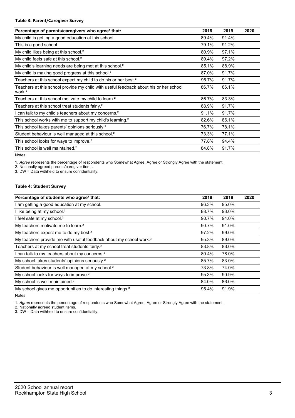### **Table 3: Parent/Caregiver Survey**

| Percentage of parents/caregivers who agree <sup>1</sup> that:                                               | 2018  | 2019  | 2020 |
|-------------------------------------------------------------------------------------------------------------|-------|-------|------|
| My child is getting a good education at this school.                                                        | 89.4% | 91.4% |      |
| This is a good school.                                                                                      | 79.1% | 91.2% |      |
| My child likes being at this school. <sup>2</sup>                                                           | 80.9% | 97.1% |      |
| My child feels safe at this school. <sup>2</sup>                                                            | 89.4% | 97.2% |      |
| My child's learning needs are being met at this school. <sup>2</sup>                                        | 85.1% | 88.9% |      |
| My child is making good progress at this school. <sup>2</sup>                                               | 87.0% | 91.7% |      |
| Teachers at this school expect my child to do his or her best. <sup>2</sup>                                 | 95.7% | 91.7% |      |
| Teachers at this school provide my child with useful feedback about his or her school<br>work. <sup>2</sup> | 86.7% | 86.1% |      |
| Teachers at this school motivate my child to learn. <sup>2</sup>                                            | 86.7% | 83.3% |      |
| Teachers at this school treat students fairly. <sup>2</sup>                                                 | 68.9% | 91.7% |      |
| I can talk to my child's teachers about my concerns. <sup>2</sup>                                           | 91.1% | 91.7% |      |
| This school works with me to support my child's learning. <sup>2</sup>                                      | 82.6% | 86.1% |      |
| This school takes parents' opinions seriously. <sup>2</sup>                                                 | 76.7% | 78.1% |      |
| Student behaviour is well managed at this school. <sup>2</sup>                                              | 73.3% | 77.1% |      |
| This school looks for ways to improve. <sup>2</sup>                                                         | 77.8% | 94.4% |      |
| This school is well maintained. <sup>2</sup>                                                                | 84.8% | 91.7% |      |

Notes

1. *Agree* represents the percentage of respondents who Somewhat Agree, Agree or Strongly Agree with the statement.

2. Nationally agreed parents/caregiver items.

3. DW = Data withheld to ensure confidentiality.

### **Table 4: Student Survey**

| Percentage of students who agree <sup>1</sup> that:                            | 2018  | 2019  | 2020 |
|--------------------------------------------------------------------------------|-------|-------|------|
| I am getting a good education at my school.                                    | 96.3% | 95.0% |      |
| I like being at my school. <sup>2</sup>                                        | 88.7% | 93.0% |      |
| I feel safe at my school. <sup>2</sup>                                         | 90.7% | 94.0% |      |
| My teachers motivate me to learn. <sup>2</sup>                                 | 90.7% | 91.0% |      |
| My teachers expect me to do my best. <sup>2</sup>                              | 97.2% | 99.0% |      |
| My teachers provide me with useful feedback about my school work. <sup>2</sup> | 95.3% | 89.0% |      |
| Teachers at my school treat students fairly. <sup>2</sup>                      | 83.8% | 83.0% |      |
| I can talk to my teachers about my concerns. <sup>2</sup>                      | 80.4% | 78.0% |      |
| My school takes students' opinions seriously. <sup>2</sup>                     | 85.7% | 83.0% |      |
| Student behaviour is well managed at my school. <sup>2</sup>                   | 73.8% | 74.0% |      |
| My school looks for ways to improve. <sup>2</sup>                              | 95.3% | 90.9% |      |
| My school is well maintained. <sup>2</sup>                                     | 84.0% | 86.0% |      |
| My school gives me opportunities to do interesting things. <sup>2</sup>        | 95.4% | 91.9% |      |

Notes

1. *Agree* represents the percentage of respondents who Somewhat Agree, Agree or Strongly Agree with the statement.

2. Nationally agreed student items.

3. DW = Data withheld to ensure confidentiality.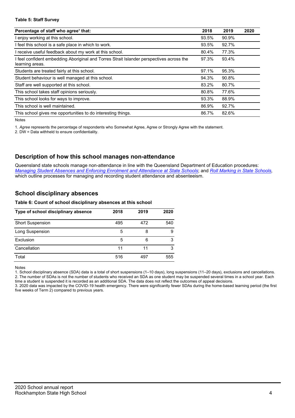### **Table 5: Staff Survey**

| Percentage of staff who agree <sup>1</sup> that:                                                          | 2018  | 2019  | 2020 |
|-----------------------------------------------------------------------------------------------------------|-------|-------|------|
| l enjoy working at this school.                                                                           | 93.5% | 90.9% |      |
| I feel this school is a safe place in which to work.                                                      | 93.5% | 92.7% |      |
| I receive useful feedback about my work at this school.                                                   | 80.4% | 77.3% |      |
| feel confident embedding Aboriginal and Torres Strait Islander perspectives across the<br>learning areas. | 97.3% | 93.4% |      |
| Students are treated fairly at this school.                                                               | 97.1% | 95.3% |      |
| Student behaviour is well managed at this school.                                                         | 94.3% | 90.8% |      |
| Staff are well supported at this school.                                                                  | 83.2% | 80.7% |      |
| This school takes staff opinions seriously.                                                               | 80.8% | 77.6% |      |
| This school looks for ways to improve.                                                                    | 93.3% | 88.9% |      |
| This school is well maintained.                                                                           | 86.9% | 92.7% |      |
| This school gives me opportunities to do interesting things.                                              | 86.7% | 82.6% |      |

Notes

1. *Agree* represents the percentage of respondents who Somewhat Agree, Agree or Strongly Agree with the statement.

2. DW = Data withheld to ensure confidentiality.

### **Description of how this school manages non-attendance**

Queensland state schools manage non-attendance in line with the Queensland Department of Education procedures: *Managing Student Absences and Enforcing Enrolment and Attendance at State Schools*; and *Roll Marking in State Schools,*  which outline processes for managing and recording student attendance and absenteeism.

### **School disciplinary absences**

### **Table 6: Count of school disciplinary absences at this school**

| Type of school disciplinary absence | 2018 | 2019 | 2020 |
|-------------------------------------|------|------|------|
| <b>Short Suspension</b>             | 495  | 472  | 540  |
| Long Suspension                     | 5    | 8    | 9    |
| Exclusion                           | 5    | 6    | 3    |
| Cancellation                        | 11   | 11   | 3    |
| Total                               | 516  | 497  | 555  |

Notes

1. School disciplinary absence (SDA) data is a total of short suspensions (1–10 days), long suspensions (11–20 days), exclusions and cancellations. 2. The number of SDAs is not the number of students who received an SDA as one student may be suspended several times in a school year. Each

time a student is suspended it is recorded as an additional SDA. The data does not reflect the outcomes of appeal decisions. 3. 2020 data was impacted by the COVID-19 health emergency. There were significantly fewer SDAs during the home-based learning period (the first five weeks of Term 2) compared to previous years.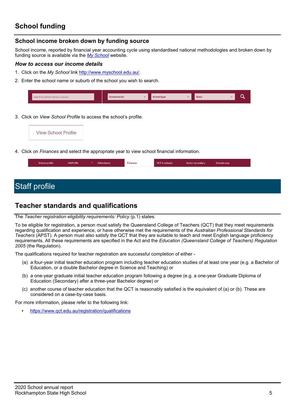# **School funding**

### **School income broken down by funding source**

School income, reported by financial year accounting cycle using standardised national methodologies and broken down by funding source is available via the *My School* website.

### *How to access our income details*

- 1. Click on the *My School* link http://www.myschool.edu.au/.
- 2. Enter the school name or suburb of the school you wish to search.

| Search by school name or suburb | <b>School sector</b> | $\overline{\phantom{a}}$ | school type | <b>State</b> |  |
|---------------------------------|----------------------|--------------------------|-------------|--------------|--|
|                                 |                      |                          |             |              |  |

3. Click on *View School Profile* to access the school's profile.



4. Click on *Finances* and select the appropriate year to view school financial information.

| School profile | <b>NAPLAN</b> | Attendance | <b>Finances</b> | VET in schools | Senior secondary | Schools map |
|----------------|---------------|------------|-----------------|----------------|------------------|-------------|
|                |               |            |                 |                |                  |             |

# Staff profile

### **Teacher standards and qualifications**

### The *Teacher registration eligibility requirements: Policy* (p.1) states:

To be eligible for registration, a person must satisfy the Queensland College of Teachers (QCT) that they meet requirements regarding qualification and experience, or have otherwise met the requirements of the *Australian Professional Standards for Teachers* (APST). A person must also satisfy the QCT that they are suitable to teach and meet English language proficiency requirements. All these requirements are specified in the Act and the *Education (Queensland College of Teachers) Regulation 2005* (the Regulation).

The qualifications required for teacher registration are successful completion of either -

- (a) a four-year initial teacher education program including teacher education studies of at least one year (e.g. a Bachelor of Education, or a double Bachelor degree in Science and Teaching) or
- (b) a one-year graduate initial teacher education program following a degree (e.g. a one-year Graduate Diploma of Education (Secondary) after a three-year Bachelor degree) or
- (c) another course of teacher education that the QCT is reasonably satisfied is the equivalent of (a) or (b). These are considered on a case-by-case basis.

For more information, please refer to the following link:

• https://www.qct.edu.au/registration/qualifications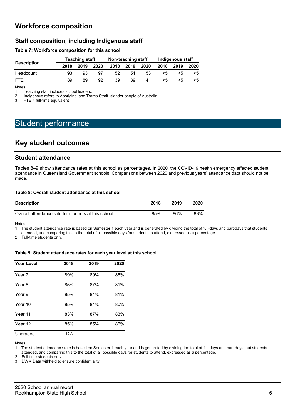## **Workforce composition**

### **Staff composition, including Indigenous staff**

### **Table 7: Workforce composition for this school**

| <b>Description</b> |      | <b>Teaching staff</b> |      |      | Non-teaching staff |      | Indigenous staff |      |      |
|--------------------|------|-----------------------|------|------|--------------------|------|------------------|------|------|
|                    | 2018 | 2019                  | 2020 | 2018 | 2019               | 2020 | 2018             | 2019 | 2020 |
| Headcount          | 93   | 93                    | 97   | 52   | 51                 | 53   |                  |      | <5   |
| FTF                | 89   | 89                    | 92   | 39   | 39                 | 41   | ה>               | ה>   | <5   |

**Notes** 

1. Teaching staff includes school leaders.

2. Indigenous refers to Aboriginal and Torres Strait Islander people of Australia.<br>3. FTE = full-time equivalent

 $FTE = full-time equivalent$ 

# Student performance

### **Key student outcomes**

### **Student attendance**

Tables 8–9 show attendance rates at this school as percentages. In 2020, the COVID-19 health emergency affected student attendance in Queensland Government schools. Comparisons between 2020 and previous years' attendance data should not be made.

### **Table 8: Overall student attendance at this school**

| <b>Description</b>                                  | 2018 | 2019 | 2020 |
|-----------------------------------------------------|------|------|------|
| Overall attendance rate for students at this school | 85%  | 86%  | 83%  |

Notes

1. The student attendance rate is based on Semester 1 each year and is generated by dividing the total of full-days and part-days that students attended, and comparing this to the total of all possible days for students to attend, expressed as a percentage.

2. Full-time students only.

### **Table 9: Student attendance rates for each year level at this school**

| <b>Year Level</b> | 2018 | 2019 | 2020 |
|-------------------|------|------|------|
| Year 7            | 89%  | 89%  | 85%  |
| Year 8            | 85%  | 87%  | 81%  |
| Year 9            | 85%  | 84%  | 81%  |
| Year 10           | 85%  | 84%  | 80%  |
| Year 11           | 83%  | 87%  | 83%  |
| Year 12           | 85%  | 85%  | 86%  |
| Ungraded          | DW   |      |      |

Notes

1. The student attendance rate is based on Semester 1 each year and is generated by dividing the total of full-days and part-days that students

attended, and comparing this to the total of all possible days for students to attend, expressed as a percentage.

2. Full-time students only.

3. DW = Data withheld to ensure confidentiality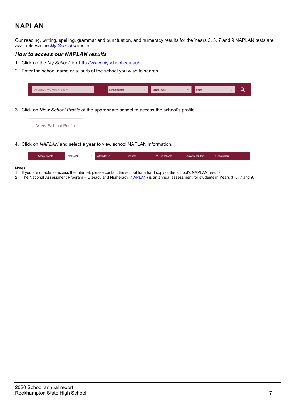# **NAPLAN**

Our reading, writing, spelling, grammar and punctuation, and numeracy results for the Years 3, 5, 7 and 9 NAPLAN tests are available via the *My School* website.

### *How to access our NAPLAN results*

- 1. Click on the *My School* link http://www.myschool.edu.au/.
- 2. Enter the school name or suburb of the school you wish to search.

| Search by school name or suburb | <b>School sector</b> | <b>School type</b> | <b>State</b> |  |
|---------------------------------|----------------------|--------------------|--------------|--|
|                                 |                      |                    |              |  |

3. Click on *View School Profile* of the appropriate school to access the school's profile.

4. Click on *NAPLAN* and select a year to view school NAPLAN information.

| School profile | <b>NAPLAN</b> | $\sim$ $\sim$ | Attendance | <b>Finances</b> | VET in schools | Senior secondary | Schools map |
|----------------|---------------|---------------|------------|-----------------|----------------|------------------|-------------|
|                |               |               |            |                 |                |                  |             |

### Notes

- 1. If you are unable to access the internet, please contact the school for a hard copy of the school's NAPLAN results.
- 2. The National Assessment Program Literacy and Numeracy (NAPLAN) is an annual assessment for students in Years 3, 5, 7 and 9.